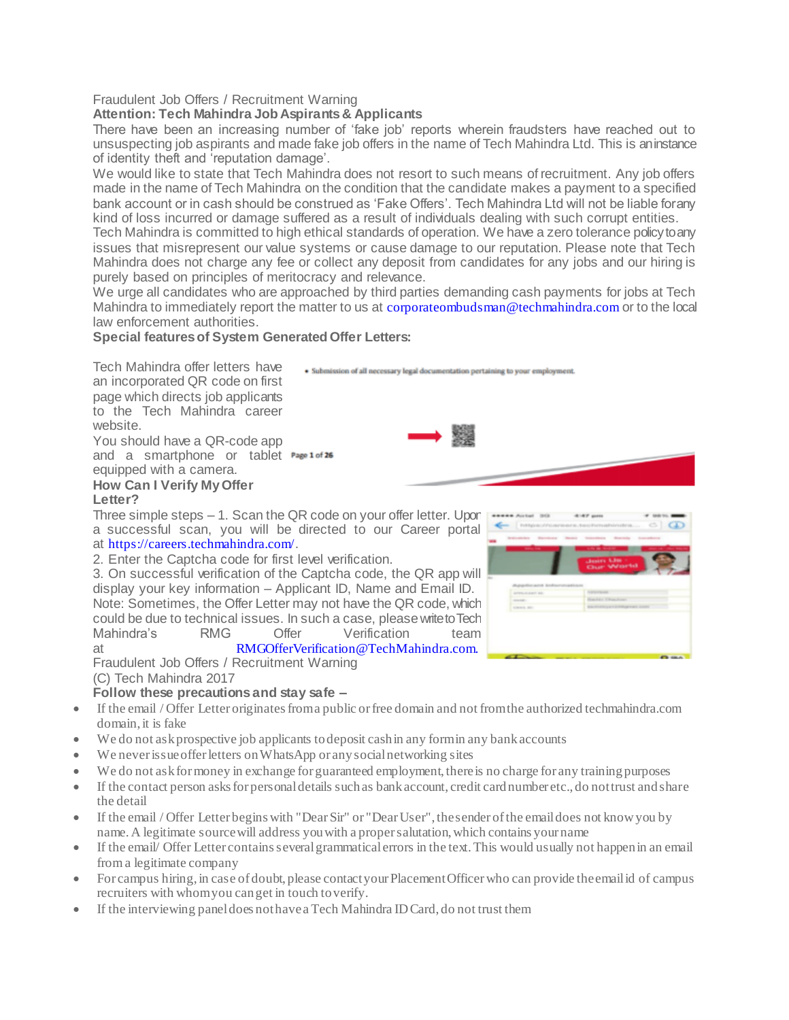# Fraudulent Job Offers / Recruitment Warning

# **Attention: Tech Mahindra Job Aspirants & Applicants**

There have been an increasing number of 'fake job' reports wherein fraudsters have reached out to unsuspecting job aspirants and made fake job offers in the name of Tech Mahindra Ltd. This is an instance of identity theft and 'reputation damage'.

We would like to state that Tech Mahindra does not resort to such means of recruitment. Any job offers made in the name of Tech Mahindra on the condition that the candidate makes a payment to a specified bank account or in cash should be construed as 'Fake Offers'. Tech Mahindra Ltd will not be liable for any kind of loss incurred or damage suffered as a result of individuals dealing with such corrupt entities.

Tech Mahindra is committed to high ethical standards of operation. We have a zero tolerance policy to any issues that misrepresent our value systems or cause damage to our reputation. Please note that Tech Mahindra does not charge any fee or collect any deposit from candidates for any jobs and our hiring is purely based on principles of meritocracy and relevance.

We urge all candidates who are approached by third parties demanding cash payments for jobs at Tech Mahindra to immediately report the matter to us at [corporateombudsman@techmahindra.com](mailto:corporateombudsman@techmahindra.com) or to the local law enforcement authorities.

· Submission of all necessary legal documentation pertaining to your employment.

繁殖

### **Special features of System Generated Offer Letters:**

Tech Mahindra offer letters have an incorporated QR code on first page which directs job applicants to the Tech Mahindra career website.

You should have a QR-code app and a smartphone or tablet Page 1 of 26 equipped with a camera.

#### **How Can I Verify My Offer Letter?**

Three simple steps – 1. Scan the QR code on your offer letter. Upon a successful scan, you will be directed to our Career portal at [https://careers.techmahindra.com](https://careers.techmahindra.com/)/.

2. Enter the Captcha code for first level verification.

3. On successful verification of the Captcha code, the QR app will display your key information – Applicant ID, Name and Email ID. Note: Sometimes, the Offer Letter may not have the QR code, which could be due to technical issues. In such a case, please write to Tech Mahindra's RMG Offer Verification team at [RMGOfferVerification@TechMahindra.com.](maito:RMGOfferVerification@TechMahindra.com.)

Fraudulent Job Offers / Recruitment Warning (C) Tech Mahindra 2017

# **Follow these precautions and stay safe –**

- If the email / Offer Letter originates from a public or free domain and not from the authorized techmahindra.com domain, it is fake
- We do not ask prospective job applicants to deposit cash in any form in any bank accounts
- We never issue offer letters on WhatsApp or any social networking sites
- We do not ask for money in exchange for guaranteed employment, there is no charge for any training purposes
- If the contact person asks for personal details such as bank account, credit card number etc., do not trust and share the detail
- If the email / Offer Letter begins with "Dear Sir" or "Dear User", the sender of the email does not know you by name. A legitimate source will address you with a proper salutation, which contains your name
- If the email/ Offer Letter contains several grammatical errors in the text. This would usually not happen in an email from a legitimate company
- For campus hiring, in case of doubt, please contact your Placement Officer who can provide the email id of campus recruiters with whom you can get in touch to verify.
- If the interviewing panel does not have a Tech Mahindra ID Card, do not trust them